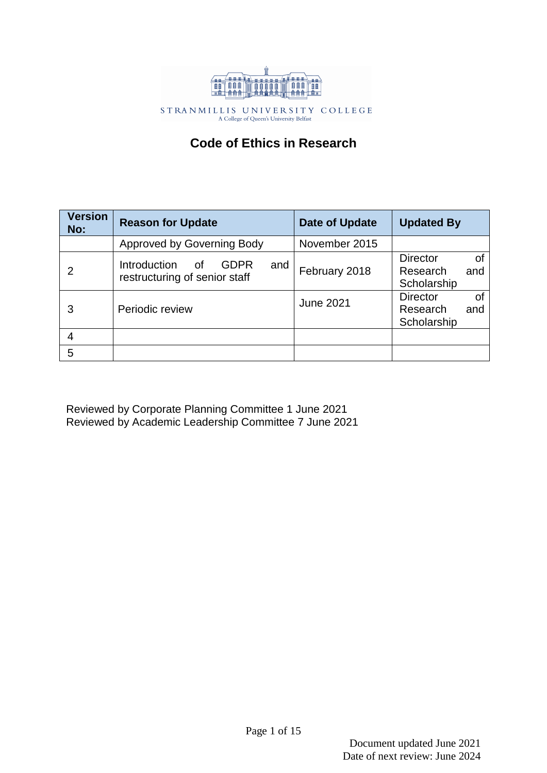

 $\begin{array}{cccccccccc} \text{S T RA N M I L L I S} & \text{U N I V E R S I T Y} & \text{C O L L E G E} \\ & & \text{A College of Queen's University Belfast} \end{array}$ 

# **Code of Ethics in Research**

| <b>Version</b><br>No: | <b>Reason for Update</b>                                           | Date of Update   | <b>Updated By</b>                                       |
|-----------------------|--------------------------------------------------------------------|------------------|---------------------------------------------------------|
|                       | <b>Approved by Governing Body</b>                                  | November 2015    |                                                         |
|                       | Introduction<br>GDPR<br>and<br>οf<br>restructuring of senior staff | February 2018    | <b>Director</b><br>Οf<br>Research<br>and<br>Scholarship |
|                       | Periodic review                                                    | <b>June 2021</b> | <b>Director</b><br>οf<br>Research<br>and<br>Scholarship |
|                       |                                                                    |                  |                                                         |
| 5                     |                                                                    |                  |                                                         |

Reviewed by Corporate Planning Committee 1 June 2021 Reviewed by Academic Leadership Committee 7 June 2021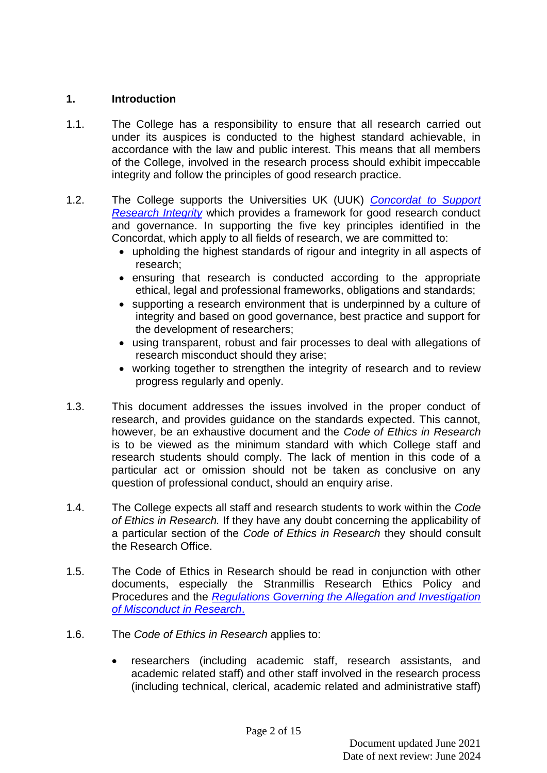# **1. Introduction**

- 1.1. The College has a responsibility to ensure that all research carried out under its auspices is conducted to the highest standard achievable, in accordance with the law and public interest. This means that all members of the College, involved in the research process should exhibit impeccable integrity and follow the principles of good research practice.
- 1.2. The College supports the Universities UK (UUK) *[Concordat to Support](https://www.universitiesuk.ac.uk/policy-and-analysis/reports/Documents/2019/the-concordat-to-support-research-integrity.pdf)  [Research Integrity](https://www.universitiesuk.ac.uk/policy-and-analysis/reports/Documents/2019/the-concordat-to-support-research-integrity.pdf)* which provides a framework for good research conduct and governance. In supporting the five key principles identified in the Concordat, which apply to all fields of research, we are committed to:
	- upholding the highest standards of rigour and integrity in all aspects of research;
	- ensuring that research is conducted according to the appropriate ethical, legal and professional frameworks, obligations and standards;
	- supporting a research environment that is underpinned by a culture of integrity and based on good governance, best practice and support for the development of researchers;
	- using transparent, robust and fair processes to deal with allegations of research misconduct should they arise;
	- working together to strengthen the integrity of research and to review progress regularly and openly.
- 1.3. This document addresses the issues involved in the proper conduct of research, and provides guidance on the standards expected. This cannot, however, be an exhaustive document and the *Code of Ethics in Research* is to be viewed as the minimum standard with which College staff and research students should comply. The lack of mention in this code of a particular act or omission should not be taken as conclusive on any question of professional conduct, should an enquiry arise.
- 1.4. The College expects all staff and research students to work within the *Code of Ethics in Research.* If they have any doubt concerning the applicability of a particular section of the *Code of Ethics in Research* they should consult the Research Office.
- 1.5. The Code of Ethics in Research should be read in conjunction with other documents, especially the Stranmillis Research Ethics Policy and Procedures and the *[Regulations Governing the Allegation and Investigation](https://stran.sharepoint.com/:w:/s/StranmillisStaffIntranet/Eef6agxomm1JuygPcMNj7ZABu803cvRVYI70R7siPaT7FQ?e=zCP7BI)  [of Misconduct in Research](https://stran.sharepoint.com/:w:/s/StranmillisStaffIntranet/Eef6agxomm1JuygPcMNj7ZABu803cvRVYI70R7siPaT7FQ?e=zCP7BI)*.
- 1.6. The *Code of Ethics in Research* applies to:
	- researchers (including academic staff, research assistants, and academic related staff) and other staff involved in the research process (including technical, clerical, academic related and administrative staff)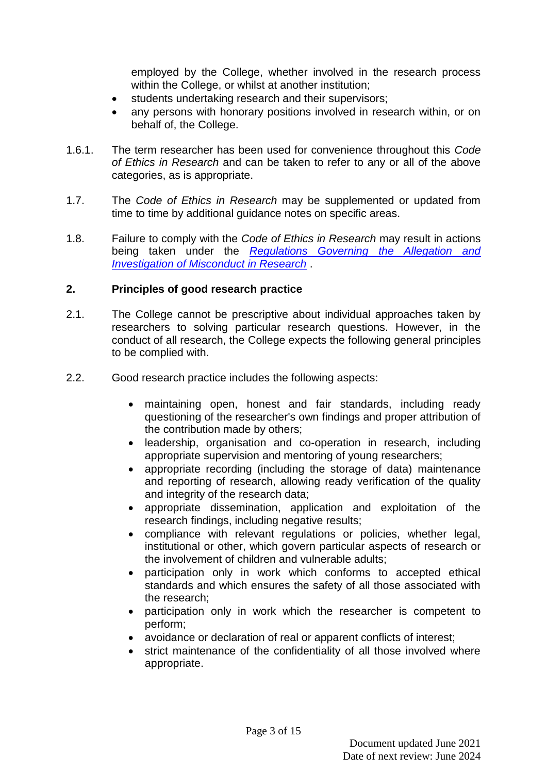employed by the College, whether involved in the research process within the College, or whilst at another institution;

- students undertaking research and their supervisors;
- any persons with honorary positions involved in research within, or on behalf of, the College.
- 1.6.1. The term researcher has been used for convenience throughout this *Code of Ethics in Research* and can be taken to refer to any or all of the above categories, as is appropriate.
- 1.7. The *Code of Ethics in Research* may be supplemented or updated from time to time by additional guidance notes on specific areas.
- 1.8. Failure to comply with the *Code of Ethics in Research* may result in actions being taken under the *[Regulations Governing the Allegation and](https://stran.sharepoint.com/:w:/s/StranmillisStaffIntranet/Eef6agxomm1JuygPcMNj7ZABu803cvRVYI70R7siPaT7FQ?e=zCP7BI)  [Investigation of Misconduct in Research](https://stran.sharepoint.com/:w:/s/StranmillisStaffIntranet/Eef6agxomm1JuygPcMNj7ZABu803cvRVYI70R7siPaT7FQ?e=zCP7BI)* .

## **2. Principles of good research practice**

- 2.1. The College cannot be prescriptive about individual approaches taken by researchers to solving particular research questions. However, in the conduct of all research, the College expects the following general principles to be complied with.
- 2.2. Good research practice includes the following aspects:
	- maintaining open, honest and fair standards, including ready questioning of the researcher's own findings and proper attribution of the contribution made by others;
	- leadership, organisation and co-operation in research, including appropriate supervision and mentoring of young researchers;
	- appropriate recording (including the storage of data) maintenance and reporting of research, allowing ready verification of the quality and integrity of the research data;
	- appropriate dissemination, application and exploitation of the research findings, including negative results;
	- compliance with relevant regulations or policies, whether legal, institutional or other, which govern particular aspects of research or the involvement of children and vulnerable adults;
	- participation only in work which conforms to accepted ethical standards and which ensures the safety of all those associated with the research;
	- participation only in work which the researcher is competent to perform;
	- avoidance or declaration of real or apparent conflicts of interest;
	- strict maintenance of the confidentiality of all those involved where appropriate.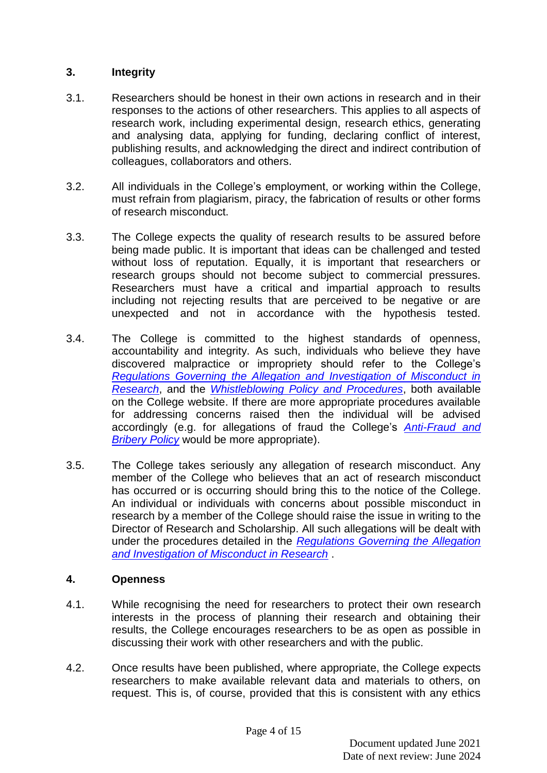## **3. Integrity**

- 3.1. Researchers should be honest in their own actions in research and in their responses to the actions of other researchers. This applies to all aspects of research work, including experimental design, research ethics, generating and analysing data, applying for funding, declaring conflict of interest, publishing results, and acknowledging the direct and indirect contribution of colleagues, collaborators and others.
- 3.2. All individuals in the College's employment, or working within the College, must refrain from plagiarism, piracy, the fabrication of results or other forms of research misconduct.
- 3.3. The College expects the quality of research results to be assured before being made public. It is important that ideas can be challenged and tested without loss of reputation. Equally, it is important that researchers or research groups should not become subject to commercial pressures. Researchers must have a critical and impartial approach to results including not rejecting results that are perceived to be negative or are unexpected and not in accordance with the hypothesis tested.
- 3.4. The College is committed to the highest standards of openness, accountability and integrity. As such, individuals who believe they have discovered malpractice or impropriety should refer to the College's *[Regulations Governing the Allegation and Investigation of Misconduct in](https://stran.sharepoint.com/:w:/s/StranmillisStaffIntranet/Eef6agxomm1JuygPcMNj7ZABu803cvRVYI70R7siPaT7FQ?e=O2US3D)  [Research](https://stran.sharepoint.com/:w:/s/StranmillisStaffIntranet/Eef6agxomm1JuygPcMNj7ZABu803cvRVYI70R7siPaT7FQ?e=O2US3D)*, and the *[Whistleblowing Policy](https://stran.sharepoint.com/:b:/s/StranmillisStaffIntranet/EazIWLZ97PFGlwrvdzsgQfEBMpGyar7AEZGgwWNI4qTM2g?e=d1PJJ7) and Procedures*, both available on the College website. If there are more appropriate procedures available for addressing concerns raised then the individual will be advised accordingly (e.g. for allegations of fraud the College's *[Anti-Fraud and](https://stran.sharepoint.com/:b:/s/StranmillisDocumentandAssetLibrary/EW-G9Aa9sCBPnhwZkhitEr0BTszGtT8YbeRD_EXgRrQR3A?e=cH6VLQ)  [Bribery Policy](https://stran.sharepoint.com/:b:/s/StranmillisDocumentandAssetLibrary/EW-G9Aa9sCBPnhwZkhitEr0BTszGtT8YbeRD_EXgRrQR3A?e=cH6VLQ)* would be more appropriate).
- 3.5. The College takes seriously any allegation of research misconduct. Any member of the College who believes that an act of research misconduct has occurred or is occurring should bring this to the notice of the College. An individual or individuals with concerns about possible misconduct in research by a member of the College should raise the issue in writing to the Director of Research and Scholarship. All such allegations will be dealt with under the procedures detailed in the *[Regulations Governing the Allegation](https://stran.sharepoint.com/:w:/s/StranmillisStaffIntranet/Eef6agxomm1JuygPcMNj7ZABu803cvRVYI70R7siPaT7FQ?e=I64xUS)  [and Investigation of Misconduct in Research](https://stran.sharepoint.com/:w:/s/StranmillisStaffIntranet/Eef6agxomm1JuygPcMNj7ZABu803cvRVYI70R7siPaT7FQ?e=I64xUS)* .

# **4. Openness**

- 4.1. While recognising the need for researchers to protect their own research interests in the process of planning their research and obtaining their results, the College encourages researchers to be as open as possible in discussing their work with other researchers and with the public.
- 4.2. Once results have been published, where appropriate, the College expects researchers to make available relevant data and materials to others, on request. This is, of course, provided that this is consistent with any ethics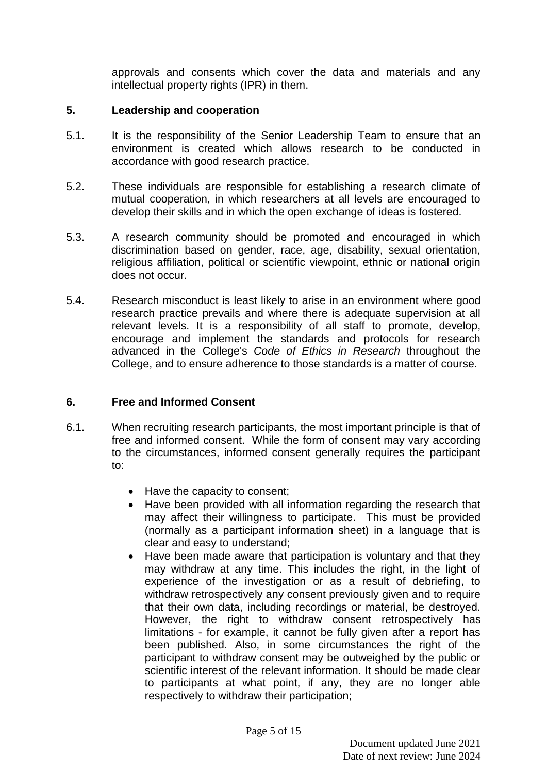approvals and consents which cover the data and materials and any intellectual property rights (IPR) in them.

## **5. Leadership and cooperation**

- 5.1. It is the responsibility of the Senior Leadership Team to ensure that an environment is created which allows research to be conducted in accordance with good research practice.
- 5.2. These individuals are responsible for establishing a research climate of mutual cooperation, in which researchers at all levels are encouraged to develop their skills and in which the open exchange of ideas is fostered.
- 5.3. A research community should be promoted and encouraged in which discrimination based on gender, race, age, disability, sexual orientation, religious affiliation, political or scientific viewpoint, ethnic or national origin does not occur.
- 5.4. Research misconduct is least likely to arise in an environment where good research practice prevails and where there is adequate supervision at all relevant levels. It is a responsibility of all staff to promote, develop, encourage and implement the standards and protocols for research advanced in the College's *Code of Ethics in Research* throughout the College, and to ensure adherence to those standards is a matter of course.

# **6. Free and Informed Consent**

- 6.1. When recruiting research participants, the most important principle is that of free and informed consent. While the form of consent may vary according to the circumstances, informed consent generally requires the participant to:
	- Have the capacity to consent:
	- Have been provided with all information regarding the research that may affect their willingness to participate. This must be provided (normally as a participant information sheet) in a language that is clear and easy to understand;
	- Have been made aware that participation is voluntary and that they may withdraw at any time. This includes the right, in the light of experience of the investigation or as a result of debriefing, to withdraw retrospectively any consent previously given and to require that their own data, including recordings or material, be destroyed. However, the right to withdraw consent retrospectively has limitations - for example, it cannot be fully given after a report has been published. Also, in some circumstances the right of the participant to withdraw consent may be outweighed by the public or scientific interest of the relevant information. It should be made clear to participants at what point, if any, they are no longer able respectively to withdraw their participation;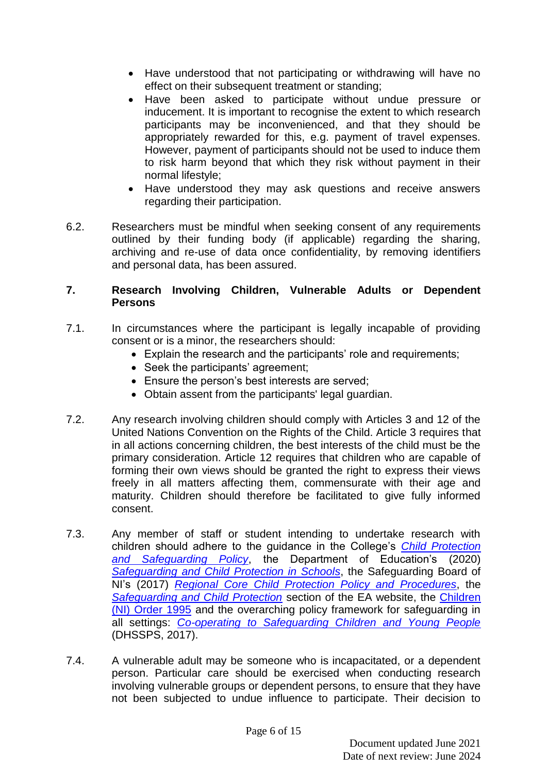- Have understood that not participating or withdrawing will have no effect on their subsequent treatment or standing;
- Have been asked to participate without undue pressure or inducement. It is important to recognise the extent to which research participants may be inconvenienced, and that they should be appropriately rewarded for this, e.g. payment of travel expenses. However, payment of participants should not be used to induce them to risk harm beyond that which they risk without payment in their normal lifestyle;
- Have understood they may ask questions and receive answers regarding their participation.
- 6.2. Researchers must be mindful when seeking consent of any requirements outlined by their funding body (if applicable) regarding the sharing, archiving and re-use of data once confidentiality, by removing identifiers and personal data, has been assured.

## **7. Research Involving Children, Vulnerable Adults or Dependent Persons**

- 7.1. In circumstances where the participant is legally incapable of providing consent or is a minor, the researchers should:
	- Explain the research and the participants' role and requirements;
	- Seek the participants' agreement;
	- Ensure the person's best interests are served;
	- Obtain assent from the participants' legal guardian.
- 7.2. Any research involving children should comply with Articles 3 and 12 of the United Nations Convention on the Rights of the Child. Article 3 requires that in all actions concerning children, the best interests of the child must be the primary consideration. Article 12 requires that children who are capable of forming their own views should be granted the right to express their views freely in all matters affecting them, commensurate with their age and maturity. Children should therefore be facilitated to give fully informed consent.
- 7.3. Any member of staff or student intending to undertake research with children should adhere to the guidance in the College's *[Child Protection](https://stran.sharepoint.com/:b:/s/StranmillisDocumentandAssetLibrary/ESMWzT_zSSJFuP2-lOMNJtMBv9rYcxWJ-Vyp_KUk73QVcQ?e=seOPXZ)  [and Safeguarding Policy](https://stran.sharepoint.com/:b:/s/StranmillisDocumentandAssetLibrary/ESMWzT_zSSJFuP2-lOMNJtMBv9rYcxWJ-Vyp_KUk73QVcQ?e=seOPXZ)*, the Department of Education's (2020) *[Safeguarding and Child Protection in Schools](https://www.education-ni.gov.uk/publications/safeguarding-and-child-protection-schools-guide-schools)*, the Safeguarding Board of NI's (2017) *[Regional Core Child Protection Policy and Procedures](https://www.proceduresonline.com/sbni/contents.html#core)*, the *[Safeguarding and Child Protection](https://www.eani.org.uk/school-management/safeguarding-and-child-protection)* section of the EA website, the [Children](https://www.legislation.gov.uk/nisi/1995/755/contents/made)  [\(NI\) Order 1995](https://www.legislation.gov.uk/nisi/1995/755/contents/made) and the overarching policy framework for safeguarding in all settings: *[Co-operating to Safeguarding Children and Young People](https://www.health-ni.gov.uk/publications/co-operating-safeguard-children-and-young-people-northern-ireland)* (DHSSPS, 2017).
- 7.4. A vulnerable adult may be someone who is incapacitated, or a dependent person. Particular care should be exercised when conducting research involving vulnerable groups or dependent persons, to ensure that they have not been subjected to undue influence to participate. Their decision to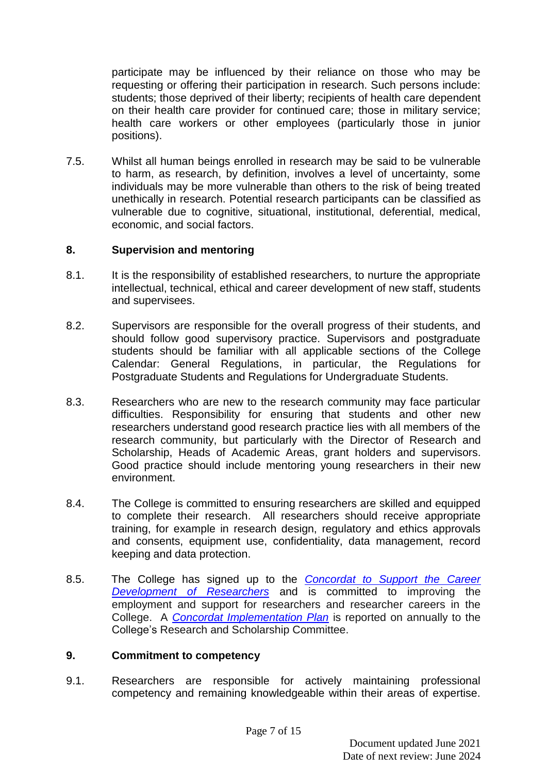participate may be influenced by their reliance on those who may be requesting or offering their participation in research. Such persons include: students; those deprived of their liberty; recipients of health care dependent on their health care provider for continued care; those in military service; health care workers or other employees (particularly those in junior positions).

7.5. Whilst all human beings enrolled in research may be said to be vulnerable to harm, as research, by definition, involves a level of uncertainty, some individuals may be more vulnerable than others to the risk of being treated unethically in research. Potential research participants can be classified as vulnerable due to cognitive, situational, institutional, deferential, medical, economic, and social factors.

## **8. Supervision and mentoring**

- 8.1. It is the responsibility of established researchers, to nurture the appropriate intellectual, technical, ethical and career development of new staff, students and supervisees.
- 8.2. Supervisors are responsible for the overall progress of their students, and should follow good supervisory practice. Supervisors and postgraduate students should be familiar with all applicable sections of the College Calendar: General Regulations, in particular, the Regulations for Postgraduate Students and Regulations for Undergraduate Students.
- 8.3. Researchers who are new to the research community may face particular difficulties. Responsibility for ensuring that students and other new researchers understand good research practice lies with all members of the research community, but particularly with the Director of Research and Scholarship, Heads of Academic Areas, grant holders and supervisors. Good practice should include mentoring young researchers in their new environment.
- 8.4. The College is committed to ensuring researchers are skilled and equipped to complete their research. All researchers should receive appropriate training, for example in research design, regulatory and ethics approvals and consents, equipment use, confidentiality, data management, record keeping and data protection.
- 8.5. The College has signed up to the *[Concordat to Support the Career](https://www.vitae.ac.uk/policy/concordat/Stranmillis-University-College_commitment-letter_concordat2019.pdf)  [Development of Researchers](https://www.vitae.ac.uk/policy/concordat/Stranmillis-University-College_commitment-letter_concordat2019.pdf)* and is committed to improving the employment and support for researchers and researcher careers in the College. A *[Concordat Implementation Plan](https://stran.sharepoint.com/:w:/s/StranmillisStaffIntranet/Ede66xQ_BaVOgjC1Apkc8cwBkWbCIpzPDI9zh0YYGftkxA?e=htTg9f)* is reported on annually to the College's Research and Scholarship Committee.

#### **9. Commitment to competency**

9.1. Researchers are responsible for actively maintaining professional competency and remaining knowledgeable within their areas of expertise.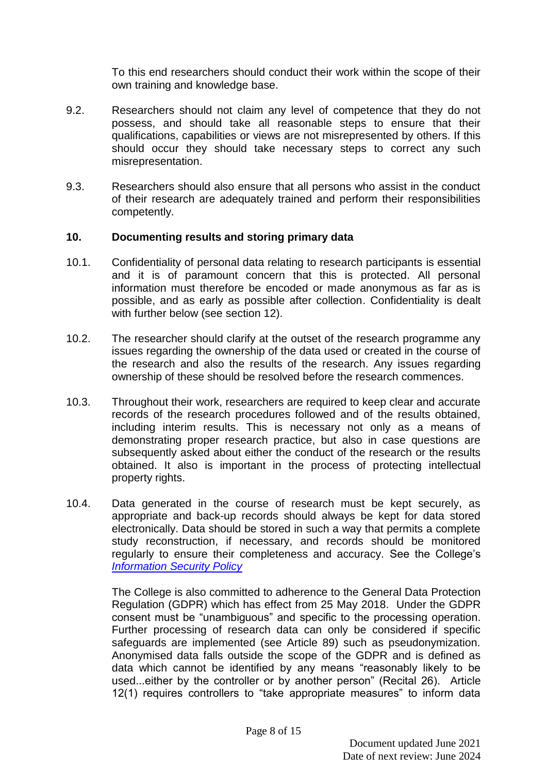To this end researchers should conduct their work within the scope of their own training and knowledge base.

- 9.2. Researchers should not claim any level of competence that they do not possess, and should take all reasonable steps to ensure that their qualifications, capabilities or views are not misrepresented by others. If this should occur they should take necessary steps to correct any such misrepresentation.
- 9.3. Researchers should also ensure that all persons who assist in the conduct of their research are adequately trained and perform their responsibilities competently.

## **10. Documenting results and storing primary data**

- 10.1. Confidentiality of personal data relating to research participants is essential and it is of paramount concern that this is protected. All personal information must therefore be encoded or made anonymous as far as is possible, and as early as possible after collection. Confidentiality is dealt with further below (see section 12).
- 10.2. The researcher should clarify at the outset of the research programme any issues regarding the ownership of the data used or created in the course of the research and also the results of the research. Any issues regarding ownership of these should be resolved before the research commences.
- 10.3. Throughout their work, researchers are required to keep clear and accurate records of the research procedures followed and of the results obtained, including interim results. This is necessary not only as a means of demonstrating proper research practice, but also in case questions are subsequently asked about either the conduct of the research or the results obtained. It also is important in the process of protecting intellectual property rights.
- 10.4. Data generated in the course of research must be kept securely, as appropriate and back-up records should always be kept for data stored electronically. Data should be stored in such a way that permits a complete study reconstruction, if necessary, and records should be monitored regularly to ensure their completeness and accuracy. See the College's *[Information Security Policy](https://stran.sharepoint.com/:w:/s/StranmillisDocumentandAssetLibrary/EcY-2jJ2kq9KszJeudoFQb4BMBD2dZ9FvvkqiThxUuNjOA?e=2xk64q)*

The College is also committed to adherence to the General Data Protection Regulation (GDPR) which has effect from 25 May 2018. Under the GDPR consent must be "unambiguous" and specific to the processing operation. Further processing of research data can only be considered if specific safeguards are implemented (see Article 89) such as pseudonymization. Anonymised data falls outside the scope of the GDPR and is defined as data which cannot be identified by any means "reasonably likely to be used...either by the controller or by another person" (Recital 26). Article 12(1) requires controllers to "take appropriate measures" to inform data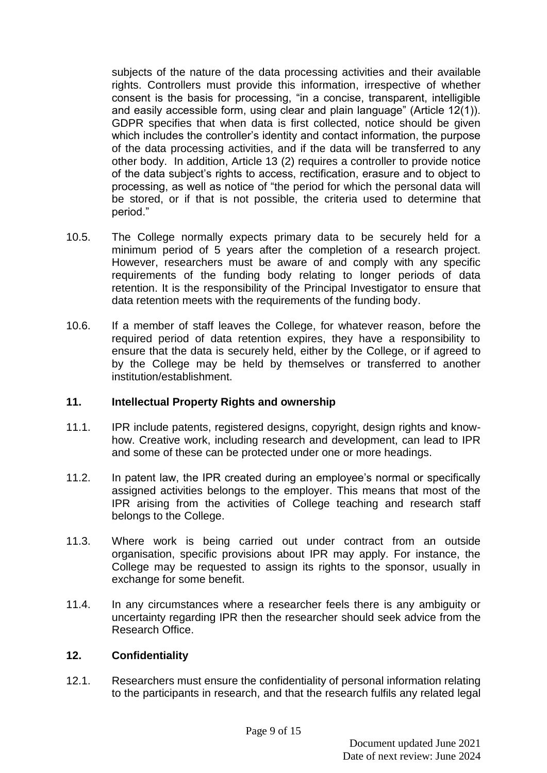subjects of the nature of the data processing activities and their available rights. Controllers must provide this information, irrespective of whether consent is the basis for processing, "in a concise, transparent, intelligible and easily accessible form, using clear and plain language" (Article 12(1)). GDPR specifies that when data is first collected, notice should be given which includes the controller's identity and contact information, the purpose of the data processing activities, and if the data will be transferred to any other body. In addition, Article 13 (2) requires a controller to provide notice of the data subject's rights to access, rectification, erasure and to object to processing, as well as notice of "the period for which the personal data will be stored, or if that is not possible, the criteria used to determine that period."

- 10.5. The College normally expects primary data to be securely held for a minimum period of 5 years after the completion of a research project. However, researchers must be aware of and comply with any specific requirements of the funding body relating to longer periods of data retention. It is the responsibility of the Principal Investigator to ensure that data retention meets with the requirements of the funding body.
- 10.6. If a member of staff leaves the College, for whatever reason, before the required period of data retention expires, they have a responsibility to ensure that the data is securely held, either by the College, or if agreed to by the College may be held by themselves or transferred to another institution/establishment.

# **11. Intellectual Property Rights and ownership**

- 11.1. IPR include patents, registered designs, copyright, design rights and knowhow. Creative work, including research and development, can lead to IPR and some of these can be protected under one or more headings.
- 11.2. In patent law, the IPR created during an employee's normal or specifically assigned activities belongs to the employer. This means that most of the IPR arising from the activities of College teaching and research staff belongs to the College.
- 11.3. Where work is being carried out under contract from an outside organisation, specific provisions about IPR may apply. For instance, the College may be requested to assign its rights to the sponsor, usually in exchange for some benefit.
- 11.4. In any circumstances where a researcher feels there is any ambiguity or uncertainty regarding IPR then the researcher should seek advice from the Research Office.

#### **12. Confidentiality**

12.1. Researchers must ensure the confidentiality of personal information relating to the participants in research, and that the research fulfils any related legal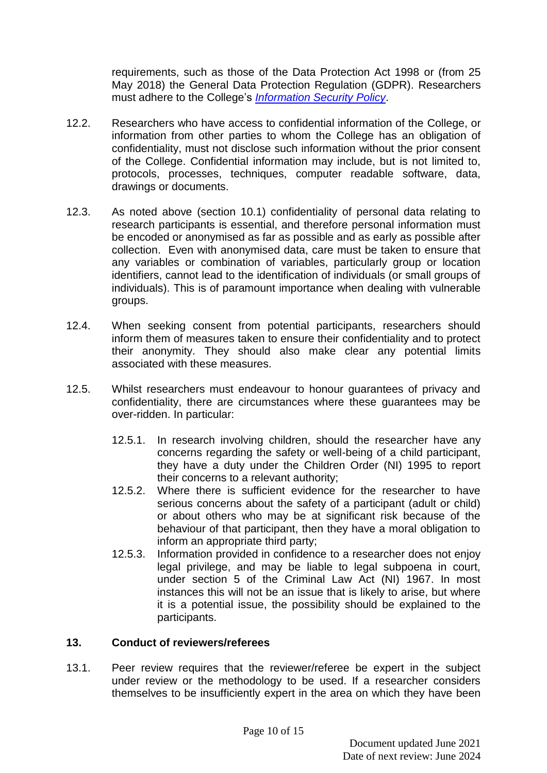requirements, such as those of the Data Protection Act 1998 or (from 25 May 2018) the General Data Protection Regulation (GDPR). Researchers must adhere to the College's *[Information Security](https://stran.sharepoint.com/:w:/s/StranmillisDocumentandAssetLibrary/EcY-2jJ2kq9KszJeudoFQb4BMBD2dZ9FvvkqiThxUuNjOA?e=2xk64q) Policy*.

- 12.2. Researchers who have access to confidential information of the College, or information from other parties to whom the College has an obligation of confidentiality, must not disclose such information without the prior consent of the College. Confidential information may include, but is not limited to, protocols, processes, techniques, computer readable software, data, drawings or documents.
- 12.3. As noted above (section 10.1) confidentiality of personal data relating to research participants is essential, and therefore personal information must be encoded or anonymised as far as possible and as early as possible after collection. Even with anonymised data, care must be taken to ensure that any variables or combination of variables, particularly group or location identifiers, cannot lead to the identification of individuals (or small groups of individuals). This is of paramount importance when dealing with vulnerable groups.
- 12.4. When seeking consent from potential participants, researchers should inform them of measures taken to ensure their confidentiality and to protect their anonymity. They should also make clear any potential limits associated with these measures.
- 12.5. Whilst researchers must endeavour to honour guarantees of privacy and confidentiality, there are circumstances where these guarantees may be over-ridden. In particular:
	- 12.5.1. In research involving children, should the researcher have any concerns regarding the safety or well-being of a child participant, they have a duty under the Children Order (NI) 1995 to report their concerns to a relevant authority;
	- 12.5.2. Where there is sufficient evidence for the researcher to have serious concerns about the safety of a participant (adult or child) or about others who may be at significant risk because of the behaviour of that participant, then they have a moral obligation to inform an appropriate third party;
	- 12.5.3. Information provided in confidence to a researcher does not enjoy legal privilege, and may be liable to legal subpoena in court. under section 5 of the Criminal Law Act (NI) 1967. In most instances this will not be an issue that is likely to arise, but where it is a potential issue, the possibility should be explained to the participants.

#### **13. Conduct of reviewers/referees**

13.1. Peer review requires that the reviewer/referee be expert in the subject under review or the methodology to be used. If a researcher considers themselves to be insufficiently expert in the area on which they have been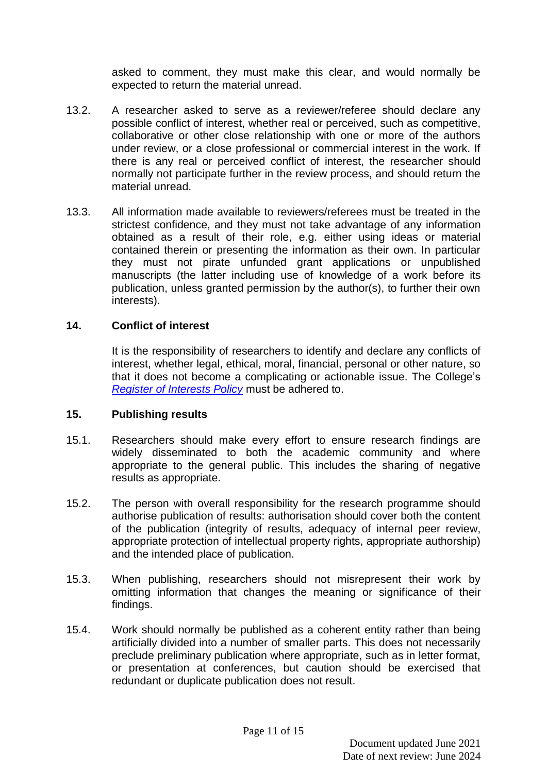asked to comment, they must make this clear, and would normally be expected to return the material unread.

- 13.2. A researcher asked to serve as a reviewer/referee should declare any possible conflict of interest, whether real or perceived, such as competitive, collaborative or other close relationship with one or more of the authors under review, or a close professional or commercial interest in the work. If there is any real or perceived conflict of interest, the researcher should normally not participate further in the review process, and should return the material unread.
- 13.3. All information made available to reviewers/referees must be treated in the strictest confidence, and they must not take advantage of any information obtained as a result of their role, e.g. either using ideas or material contained therein or presenting the information as their own. In particular they must not pirate unfunded grant applications or unpublished manuscripts (the latter including use of knowledge of a work before its publication, unless granted permission by the author(s), to further their own interests).

#### **14. Conflict of interest**

It is the responsibility of researchers to identify and declare any conflicts of interest, whether legal, ethical, moral, financial, personal or other nature, so that it does not become a complicating or actionable issue. The College's *[Register of Interests Policy](https://stran.sharepoint.com/:b:/s/StranmillisStaffIntranet/ETiFf8ouGdJNjodiaqmA9E0BOoqOJGuKRiNi34q5wMIX8Q?e=HhZB0E)* must be adhered to.

#### **15. Publishing results**

- 15.1. Researchers should make every effort to ensure research findings are widely disseminated to both the academic community and where appropriate to the general public. This includes the sharing of negative results as appropriate.
- 15.2. The person with overall responsibility for the research programme should authorise publication of results: authorisation should cover both the content of the publication (integrity of results, adequacy of internal peer review, appropriate protection of intellectual property rights, appropriate authorship) and the intended place of publication.
- 15.3. When publishing, researchers should not misrepresent their work by omitting information that changes the meaning or significance of their findings.
- 15.4. Work should normally be published as a coherent entity rather than being artificially divided into a number of smaller parts. This does not necessarily preclude preliminary publication where appropriate, such as in letter format, or presentation at conferences, but caution should be exercised that redundant or duplicate publication does not result.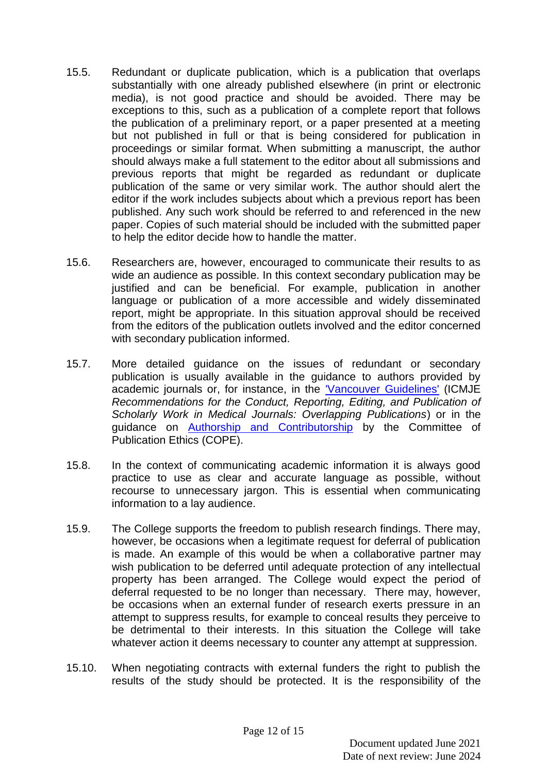- 15.5. Redundant or duplicate publication, which is a publication that overlaps substantially with one already published elsewhere (in print or electronic media), is not good practice and should be avoided. There may be exceptions to this, such as a publication of a complete report that follows the publication of a preliminary report, or a paper presented at a meeting but not published in full or that is being considered for publication in proceedings or similar format. When submitting a manuscript, the author should always make a full statement to the editor about all submissions and previous reports that might be regarded as redundant or duplicate publication of the same or very similar work. The author should alert the editor if the work includes subjects about which a previous report has been published. Any such work should be referred to and referenced in the new paper. Copies of such material should be included with the submitted paper to help the editor decide how to handle the matter.
- 15.6. Researchers are, however, encouraged to communicate their results to as wide an audience as possible. In this context secondary publication may be justified and can be beneficial. For example, publication in another language or publication of a more accessible and widely disseminated report, might be appropriate. In this situation approval should be received from the editors of the publication outlets involved and the editor concerned with secondary publication informed.
- 15.7. More detailed guidance on the issues of redundant or secondary publication is usually available in the guidance to authors provided by academic journals or, for instance, in the ['Vancouver Guidelines'](http://www.icmje.org/recommendations/) (ICMJE *Recommendations for the Conduct, Reporting, Editing, and Publication of Scholarly Work in Medical Journals: Overlapping Publications*) or in the guidance on [Authorship and Contributorship](https://publicationethics.org/authorship) by the Committee of Publication Ethics (COPE).
- 15.8. In the context of communicating academic information it is always good practice to use as clear and accurate language as possible, without recourse to unnecessary jargon. This is essential when communicating information to a lay audience.
- 15.9. The College supports the freedom to publish research findings. There may, however, be occasions when a legitimate request for deferral of publication is made. An example of this would be when a collaborative partner may wish publication to be deferred until adequate protection of any intellectual property has been arranged. The College would expect the period of deferral requested to be no longer than necessary. There may, however, be occasions when an external funder of research exerts pressure in an attempt to suppress results, for example to conceal results they perceive to be detrimental to their interests. In this situation the College will take whatever action it deems necessary to counter any attempt at suppression.
- 15.10. When negotiating contracts with external funders the right to publish the results of the study should be protected. It is the responsibility of the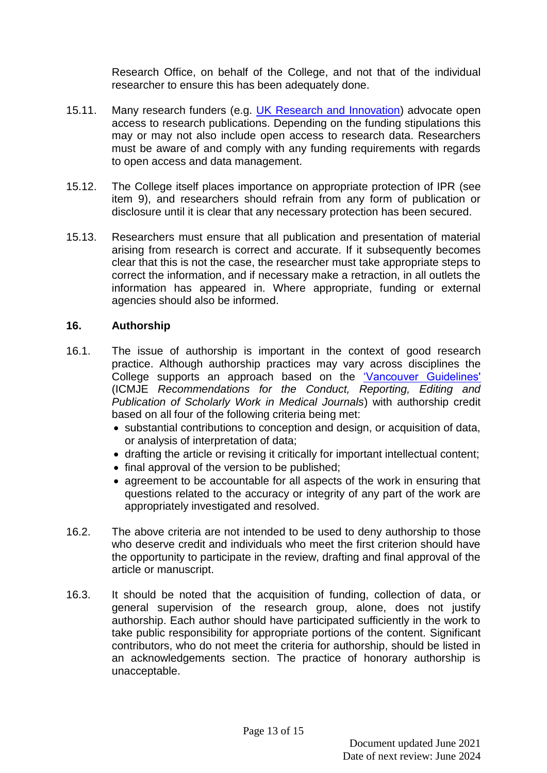Research Office, on behalf of the College, and not that of the individual researcher to ensure this has been adequately done.

- 15.11. Many research funders (e.g. UK [Research and Innovation\)](https://www.ukri.org/) advocate open access to research publications. Depending on the funding stipulations this may or may not also include open access to research data. Researchers must be aware of and comply with any funding requirements with regards to open access and data management.
- 15.12. The College itself places importance on appropriate protection of IPR (see item 9), and researchers should refrain from any form of publication or disclosure until it is clear that any necessary protection has been secured.
- 15.13. Researchers must ensure that all publication and presentation of material arising from research is correct and accurate. If it subsequently becomes clear that this is not the case, the researcher must take appropriate steps to correct the information, and if necessary make a retraction, in all outlets the information has appeared in. Where appropriate, funding or external agencies should also be informed.

## **16. Authorship**

- 16.1. The issue of authorship is important in the context of good research practice. Although authorship practices may vary across disciplines the College supports an approach based on the Vancouver Guidelines' (ICMJE *Recommendations for the Conduct, Reporting, Editing and Publication of Scholarly Work in Medical Journals*) with authorship credit based on all four of the following criteria being met:
	- substantial contributions to conception and design, or acquisition of data, or analysis of interpretation of data;
	- drafting the article or revising it critically for important intellectual content;
	- final approval of the version to be published;
	- agreement to be accountable for all aspects of the work in ensuring that questions related to the accuracy or integrity of any part of the work are appropriately investigated and resolved.
- 16.2. The above criteria are not intended to be used to deny authorship to those who deserve credit and individuals who meet the first criterion should have the opportunity to participate in the review, drafting and final approval of the article or manuscript.
- 16.3. It should be noted that the acquisition of funding, collection of data, or general supervision of the research group, alone, does not justify authorship. Each author should have participated sufficiently in the work to take public responsibility for appropriate portions of the content. Significant contributors, who do not meet the criteria for authorship, should be listed in an acknowledgements section. The practice of honorary authorship is unacceptable.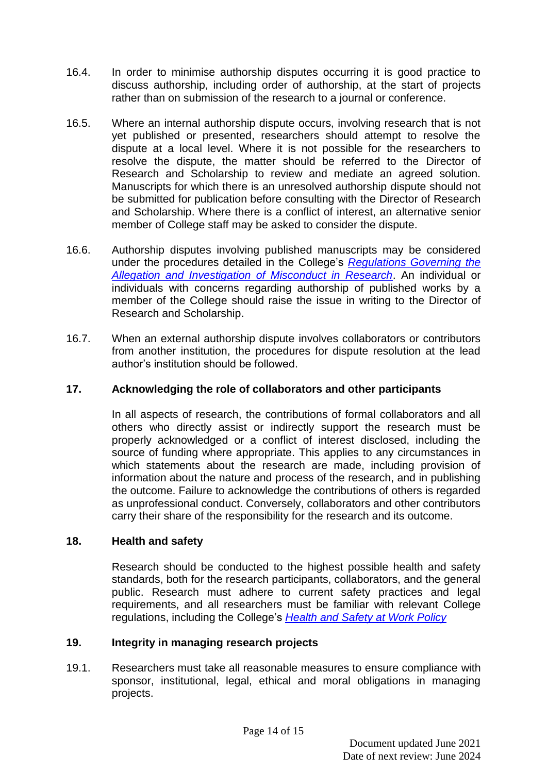- 16.4. In order to minimise authorship disputes occurring it is good practice to discuss authorship, including order of authorship, at the start of projects rather than on submission of the research to a journal or conference.
- 16.5. Where an internal authorship dispute occurs, involving research that is not yet published or presented, researchers should attempt to resolve the dispute at a local level. Where it is not possible for the researchers to resolve the dispute, the matter should be referred to the Director of Research and Scholarship to review and mediate an agreed solution. Manuscripts for which there is an unresolved authorship dispute should not be submitted for publication before consulting with the Director of Research and Scholarship. Where there is a conflict of interest, an alternative senior member of College staff may be asked to consider the dispute.
- 16.6. Authorship disputes involving published manuscripts may be considered under the procedures detailed in the College's *[Regulations Governing the](https://stran.sharepoint.com/:w:/s/StranmillisStaffIntranet/Eef6agxomm1JuygPcMNj7ZABu803cvRVYI70R7siPaT7FQ?e=zLpFET) [Allegation and Investigation of Misconduct in Research](https://stran.sharepoint.com/:w:/s/StranmillisStaffIntranet/Eef6agxomm1JuygPcMNj7ZABu803cvRVYI70R7siPaT7FQ?e=zLpFET)*. An individual or individuals with concerns regarding authorship of published works by a member of the College should raise the issue in writing to the Director of Research and Scholarship.
- 16.7. When an external authorship dispute involves collaborators or contributors from another institution, the procedures for dispute resolution at the lead author's institution should be followed.

# **17. Acknowledging the role of collaborators and other participants**

In all aspects of research, the contributions of formal collaborators and all others who directly assist or indirectly support the research must be properly acknowledged or a conflict of interest disclosed, including the source of funding where appropriate. This applies to any circumstances in which statements about the research are made, including provision of information about the nature and process of the research, and in publishing the outcome. Failure to acknowledge the contributions of others is regarded as unprofessional conduct. Conversely, collaborators and other contributors carry their share of the responsibility for the research and its outcome.

#### **18. Health and safety**

Research should be conducted to the highest possible health and safety standards, both for the research participants, collaborators, and the general public. Research must adhere to current safety practices and legal requirements, and all researchers must be familiar with relevant College regulations, including the College's *[Health and Safety at Work Policy](https://stran.sharepoint.com/:f:/s/StranmillisStaffIntranet/EviOHd6v8E5DgN7xaW0wy5UBNc6kK-npSH0VnHc9VgcXiQ?e=uPRDqE)*

#### **19. Integrity in managing research projects**

19.1. Researchers must take all reasonable measures to ensure compliance with sponsor, institutional, legal, ethical and moral obligations in managing projects.